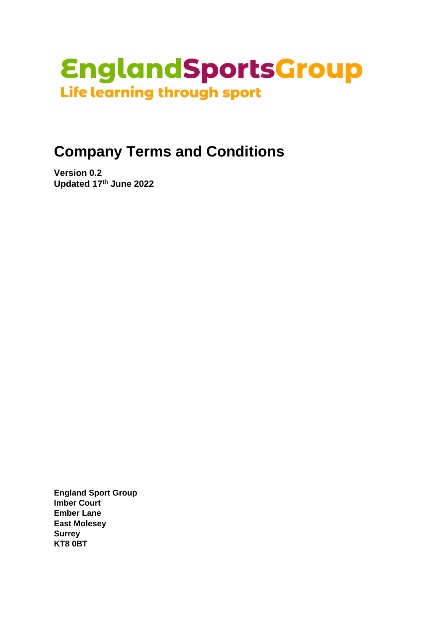

# **Company Terms and Conditions**

**Version 0.2 Updated 17 th June 2022** 

**England Sport Group Imber Court Ember Lane East Molesey Surrey KT8 0BT**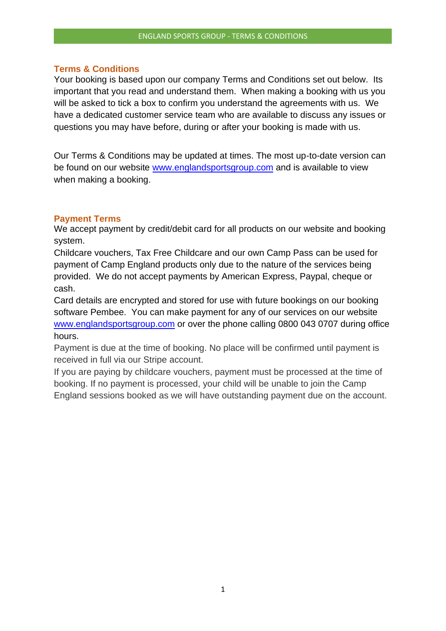### **Terms & Conditions**

Your booking is based upon our company Terms and Conditions set out below. Its important that you read and understand them. When making a booking with us you will be asked to tick a box to confirm you understand the agreements with us. We have a dedicated customer service team who are available to discuss any issues or questions you may have before, during or after your booking is made with us.

Our Terms & Conditions may be updated at times. The most up-to-date version can be found on our website [www.englandsportsgroup.com](http://www.englandsportsgroup.com/) and is available to view when making a booking.

## **Payment Terms**

We accept payment by credit/debit card for all products on our website and booking system.

Childcare vouchers, Tax Free Childcare and our own Camp Pass can be used for payment of Camp England products only due to the nature of the services being provided. We do not accept payments by American Express, Paypal, cheque or cash.

Card details are encrypted and stored for use with future bookings on our booking software Pembee. You can make payment for any of our services on our website [www.englandsportsgroup.com](http://www.englandsportsgroup.com/) or over the phone calling 0800 043 0707 during office hours.

Payment is due at the time of booking. No place will be confirmed until payment is received in full via our Stripe account.

If you are paying by childcare vouchers, payment must be processed at the time of booking. If no payment is processed, your child will be unable to join the Camp England sessions booked as we will have outstanding payment due on the account.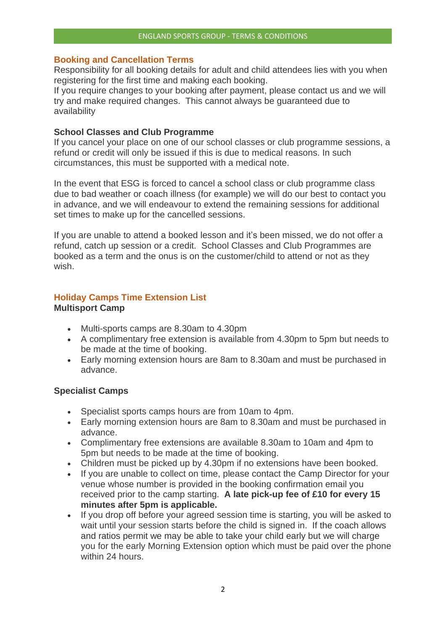# **Booking and Cancellation Terms**

Responsibility for all booking details for adult and child attendees lies with you when registering for the first time and making each booking.

If you require changes to your booking after payment, please contact us and we will try and make required changes. This cannot always be guaranteed due to availability

# **School Classes and Club Programme**

If you cancel your place on one of our school classes or club programme sessions, a refund or credit will only be issued if this is due to medical reasons. In such circumstances, this must be supported with a medical note.

In the event that ESG is forced to cancel a school class or club programme class due to bad weather or coach illness (for example) we will do our best to contact you in advance, and we will endeavour to extend the remaining sessions for additional set times to make up for the cancelled sessions.

If you are unable to attend a booked lesson and it's been missed, we do not offer a refund, catch up session or a credit. School Classes and Club Programmes are booked as a term and the onus is on the customer/child to attend or not as they wish.

## **Holiday Camps Time Extension List Multisport Camp**

- Multi-sports camps are 8.30am to 4.30pm
- A complimentary free extension is available from 4.30pm to 5pm but needs to be made at the time of booking.
- Early morning extension hours are 8am to 8.30am and must be purchased in advance.

# **Specialist Camps**

- Specialist sports camps hours are from 10am to 4pm.
- Early morning extension hours are 8am to 8.30am and must be purchased in advance.
- Complimentary free extensions are available 8.30am to 10am and 4pm to 5pm but needs to be made at the time of booking.
- Children must be picked up by 4.30pm if no extensions have been booked.
- If you are unable to collect on time, please contact the Camp Director for your venue whose number is provided in the booking confirmation email you received prior to the camp starting. **A late pick-up fee of £10 for every 15 minutes after 5pm is applicable.**
- If you drop off before your agreed session time is starting, you will be asked to wait until your session starts before the child is signed in. If the coach allows and ratios permit we may be able to take your child early but we will charge you for the early Morning Extension option which must be paid over the phone within 24 hours.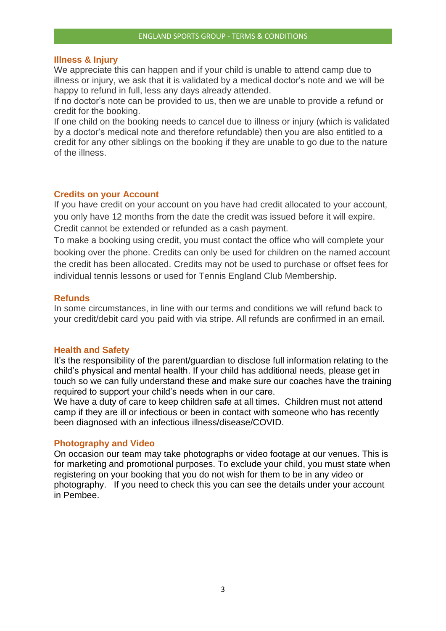#### **Illness & Injury**

We appreciate this can happen and if your child is unable to attend camp due to illness or injury, we ask that it is validated by a medical doctor's note and we will be happy to refund in full, less any days already attended.

If no doctor's note can be provided to us, then we are unable to provide a refund or credit for the booking.

If one child on the booking needs to cancel due to illness or injury (which is validated by a doctor's medical note and therefore refundable) then you are also entitled to a credit for any other siblings on the booking if they are unable to go due to the nature of the illness.

## **Credits on your Account**

If you have credit on your account on you have had credit allocated to your account, you only have 12 months from the date the credit was issued before it will expire. Credit cannot be extended or refunded as a cash payment.

To make a booking using credit, you must contact the office who will complete your booking over the phone. Credits can only be used for children on the named account the credit has been allocated. Credits may not be used to purchase or offset fees for individual tennis lessons or used for Tennis England Club Membership.

#### **Refunds**

In some circumstances, in line with our terms and conditions we will refund back to your credit/debit card you paid with via stripe. All refunds are confirmed in an email.

#### **Health and Safety**

It's the responsibility of the parent/guardian to disclose full information relating to the child's physical and mental health. If your child has additional needs, please get in touch so we can fully understand these and make sure our coaches have the training required to support your child's needs when in our care.

We have a duty of care to keep children safe at all times. Children must not attend camp if they are ill or infectious or been in contact with someone who has recently been diagnosed with an infectious illness/disease/COVID.

## **Photography and Video**

On occasion our team may take photographs or video footage at our venues. This is for marketing and promotional purposes. To exclude your child, you must state when registering on your booking that you do not wish for them to be in any video or photography. If you need to check this you can see the details under your account in Pembee.